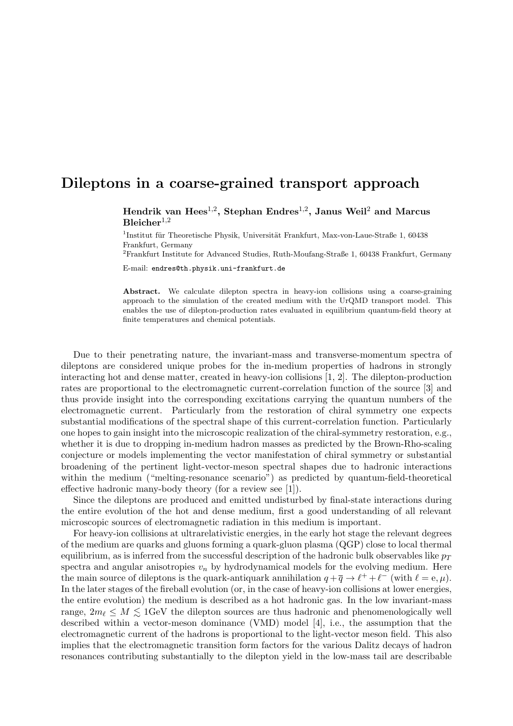## Dileptons in a coarse-grained transport approach

Hendrik van Hees<sup>1,2</sup>, Stephan Endres<sup>1,2</sup>, Janus Weil<sup>2</sup> and Marcus  $B$ leicher<sup>1,2</sup>

<sup>1</sup>Institut für Theoretische Physik, Universität Frankfurt, Max-von-Laue-Straße 1, 60438 Frankfurt, Germany

<sup>2</sup>Frankfurt Institute for Advanced Studies, Ruth-Moufang-Straße 1, 60438 Frankfurt, Germany

E-mail: endres@th.physik.uni-frankfurt.de

Abstract. We calculate dilepton spectra in heavy-ion collisions using a coarse-graining approach to the simulation of the created medium with the UrQMD transport model. This enables the use of dilepton-production rates evaluated in equilibrium quantum-field theory at finite temperatures and chemical potentials.

Due to their penetrating nature, the invariant-mass and transverse-momentum spectra of dileptons are considered unique probes for the in-medium properties of hadrons in strongly interacting hot and dense matter, created in heavy-ion collisions [1, 2]. The dilepton-production rates are proportional to the electromagnetic current-correlation function of the source [3] and thus provide insight into the corresponding excitations carrying the quantum numbers of the electromagnetic current. Particularly from the restoration of chiral symmetry one expects substantial modifications of the spectral shape of this current-correlation function. Particularly one hopes to gain insight into the microscopic realization of the chiral-symmetry restoration, e.g., whether it is due to dropping in-medium hadron masses as predicted by the Brown-Rho-scaling conjecture or models implementing the vector manifestation of chiral symmetry or substantial broadening of the pertinent light-vector-meson spectral shapes due to hadronic interactions within the medium ("melting-resonance scenario") as predicted by quantum-field-theoretical effective hadronic many-body theory (for a review see [1]).

Since the dileptons are produced and emitted undisturbed by final-state interactions during the entire evolution of the hot and dense medium, first a good understanding of all relevant microscopic sources of electromagnetic radiation in this medium is important.

For heavy-ion collisions at ultrarelativistic energies, in the early hot stage the relevant degrees of the medium are quarks and gluons forming a quark-gluon plasma (QGP) close to local thermal equilibrium, as is inferred from the successful description of the hadronic bulk observables like  $p_T$ spectra and angular anisotropies  $v_n$  by hydrodynamical models for the evolving medium. Here the main source of dileptons is the quark-antiquark annihilation  $q + \overline{q} \to \ell^+ + \ell^-$  (with  $\ell = e, \mu$ ). In the later stages of the fireball evolution (or, in the case of heavy-ion collisions at lower energies, the entire evolution) the medium is described as a hot hadronic gas. In the low invariant-mass range,  $2m_\ell \leq M \leq 1$ GeV the dilepton sources are thus hadronic and phenomenologically well described within a vector-meson dominance (VMD) model [4], i.e., the assumption that the electromagnetic current of the hadrons is proportional to the light-vector meson field. This also implies that the electromagnetic transition form factors for the various Dalitz decays of hadron resonances contributing substantially to the dilepton yield in the low-mass tail are describable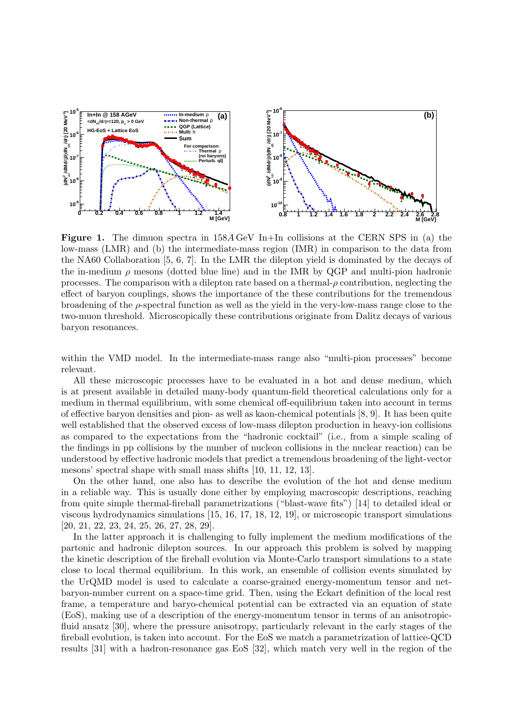

**Figure 1.** The dimuon spectra in  $158A \text{ GeV}$  In+In collisions at the CERN SPS in (a) the low-mass (LMR) and (b) the intermediate-mass region (IMR) in comparison to the data from the NA60 Collaboration [5, 6, 7]. In the LMR the dilepton yield is dominated by the decays of the in-medium  $\rho$  mesons (dotted blue line) and in the IMR by QGP and multi-pion hadronic processes. The comparison with a dilepton rate based on a thermal- $\rho$  contribution, neglecting the effect of baryon couplings, shows the importance of the these contributions for the tremendous broadening of the  $\rho$ -spectral function as well as the yield in the very-low-mass range close to the two-muon threshold. Microscopically these contributions originate from Dalitz decays of various baryon resonances.

within the VMD model. In the intermediate-mass range also "multi-pion processes" become relevant.

All these microscopic processes have to be evaluated in a hot and dense medium, which is at present available in detailed many-body quantum-field theoretical calculations only for a medium in thermal equilibrium, with some chemical off-equilibrium taken into account in terms of effective baryon densities and pion- as well as kaon-chemical potentials [8, 9]. It has been quite well established that the observed excess of low-mass dilepton production in heavy-ion collisions as compared to the expectations from the "hadronic cocktail" (i.e., from a simple scaling of the findings in pp collisions by the number of nucleon collisions in the nuclear reaction) can be understood by effective hadronic models that predict a tremendous broadening of the light-vector mesons' spectral shape with small mass shifts [10, 11, 12, 13].

On the other hand, one also has to describe the evolution of the hot and dense medium in a reliable way. This is usually done either by employing macroscopic descriptions, reaching from quite simple thermal-fireball parametrizations ("blast-wave fits") [14] to detailed ideal or viscous hydrodynamics simulations [15, 16, 17, 18, 12, 19], or microscopic transport simulations [20, 21, 22, 23, 24, 25, 26, 27, 28, 29].

In the latter approach it is challenging to fully implement the medium modifications of the partonic and hadronic dilepton sources. In our approach this problem is solved by mapping the kinetic description of the fireball evolution via Monte-Carlo transport simulations to a state close to local thermal equilibrium. In this work, an ensemble of collision events simulated by the UrQMD model is used to calculate a coarse-grained energy-momentum tensor and netbaryon-number current on a space-time grid. Then, using the Eckart definition of the local rest frame, a temperature and baryo-chemical potential can be extracted via an equation of state (EoS), making use of a description of the energy-momentum tensor in terms of an anisotropicfluid ansatz [30], where the pressure anisotropy, particularly relevant in the early stages of the fireball evolution, is taken into account. For the EoS we match a parametrization of lattice-QCD results [31] with a hadron-resonance gas EoS [32], which match very well in the region of the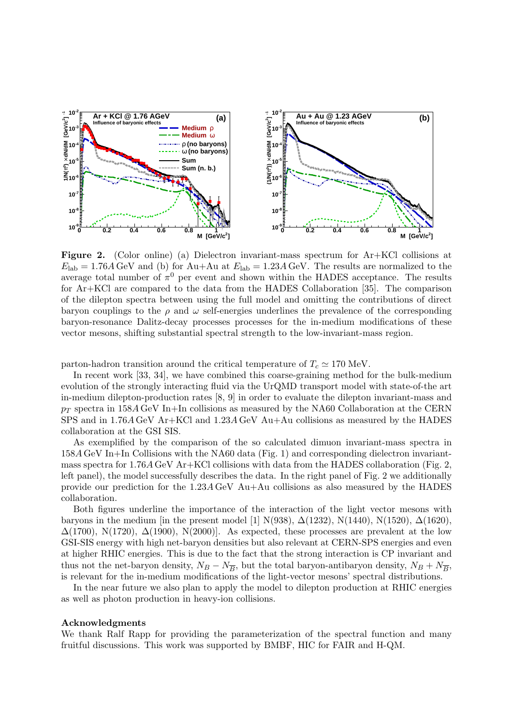

Figure 2. (Color online) (a) Dielectron invariant-mass spectrum for Ar+KCl collisions at  $E_{\rm lab} = 1.76A \,\text{GeV}$  and (b) for Au+Au at  $E_{\rm lab} = 1.23A \,\text{GeV}$ . The results are normalized to the average total number of  $\pi^0$  per event and shown within the HADES acceptance. The results for Ar+KCl are compared to the data from the HADES Collaboration [35]. The comparison of the dilepton spectra between using the full model and omitting the contributions of direct baryon couplings to the  $\rho$  and  $\omega$  self-energies underlines the prevalence of the corresponding baryon-resonance Dalitz-decay processes processes for the in-medium modifications of these vector mesons, shifting substantial spectral strength to the low-invariant-mass region.

parton-hadron transition around the critical temperature of  $T_c \simeq 170$  MeV.

In recent work [33, 34], we have combined this coarse-graining method for the bulk-medium evolution of the strongly interacting fluid via the UrQMD transport model with state-of-the art in-medium dilepton-production rates [8, 9] in order to evaluate the dilepton invariant-mass and  $p_T$  spectra in 158A GeV In+In collisions as measured by the NA60 Collaboration at the CERN SPS and in 1.76A GeV Ar+KCl and 1.23A GeV Au+Au collisions as measured by the HADES collaboration at the GSI SIS.

As exemplified by the comparison of the so calculated dimuon invariant-mass spectra in 158A GeV In+In Collisions with the NA60 data (Fig. 1) and corresponding dielectron invariantmass spectra for 1.76A GeV Ar+KCl collisions with data from the HADES collaboration (Fig. 2, left panel), the model successfully describes the data. In the right panel of Fig. 2 we additionally provide our prediction for the 1.23A GeV Au+Au collisions as also measured by the HADES collaboration.

Both figures underline the importance of the interaction of the light vector mesons with baryons in the medium [in the present model [1] N(938),  $\Delta(1232)$ , N(1440), N(1520),  $\Delta(1620)$ ,  $\Delta(1700)$ , N(1720),  $\Delta(1900)$ , N(2000)]. As expected, these processes are prevalent at the low GSI-SIS energy with high net-baryon densities but also relevant at CERN-SPS energies and even at higher RHIC energies. This is due to the fact that the strong interaction is CP invariant and thus not the net-baryon density,  $N_B - N_{\overline{B}}$ , but the total baryon-antibaryon density,  $N_B + N_{\overline{B}}$ , is relevant for the in-medium modifications of the light-vector mesons' spectral distributions.

In the near future we also plan to apply the model to dilepton production at RHIC energies as well as photon production in heavy-ion collisions.

## Acknowledgments

We thank Ralf Rapp for providing the parameterization of the spectral function and many fruitful discussions. This work was supported by BMBF, HIC for FAIR and H-QM.